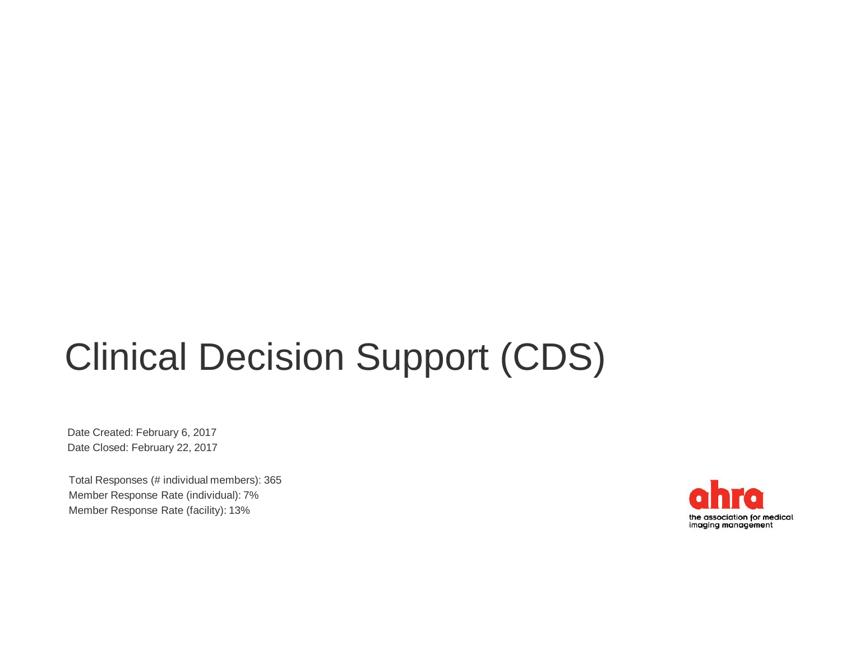# Clinical Decision Support (CDS)

Date Created: February 6, 2017 Date Closed: February 22, 2017

Total Responses (# individual members): 365 Member Response Rate (individual): 7% Member Response Rate (facility): 13%

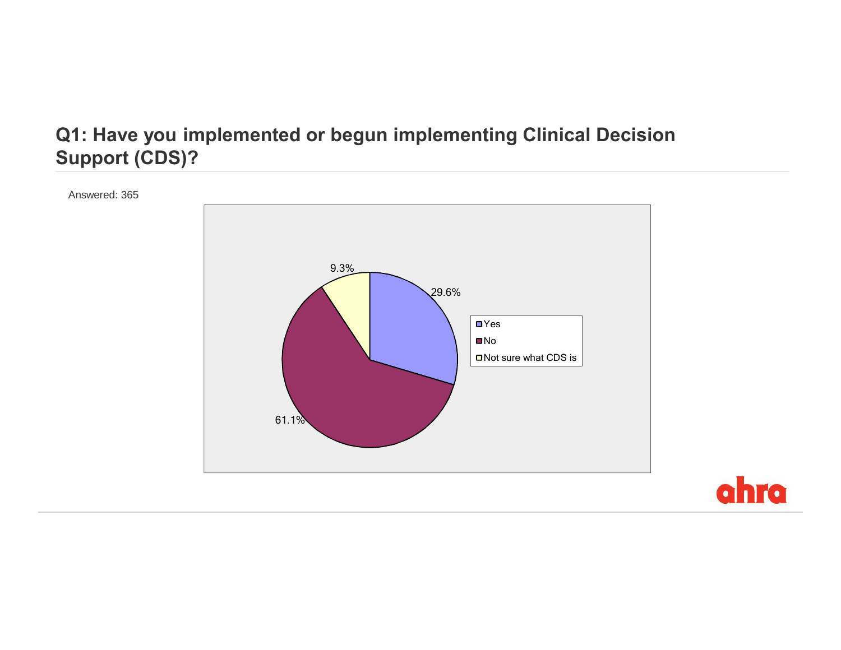## **Q1: Have you implemented or begun implementing Clinical Decision Support (CDS)?**



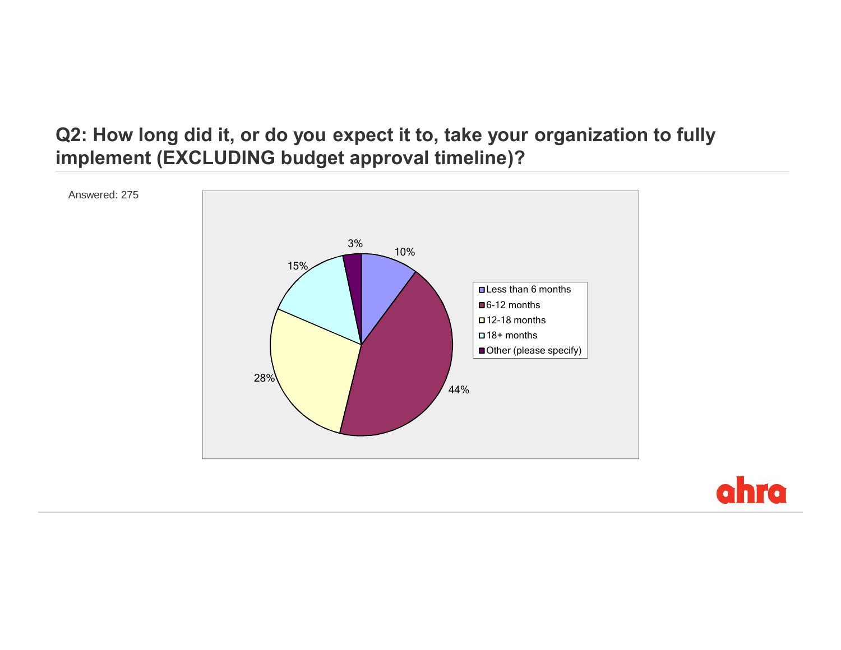### **Q2: How long did it, or do you expect it to, take your organization to fully implement (EXCLUDING budget approval timeline)?**



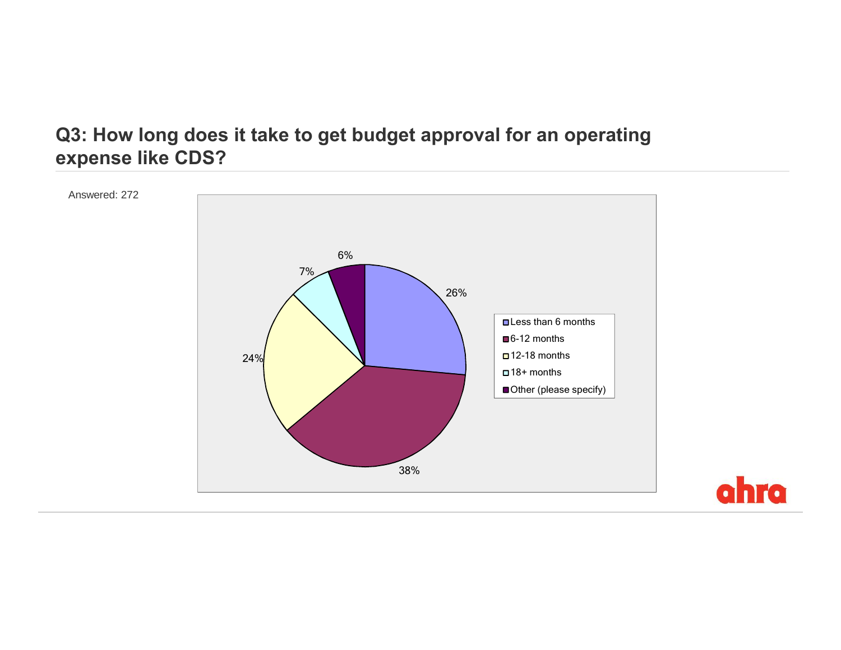#### **Q3: How long does it take to get budget approval for an operating expense like CDS?**



ahra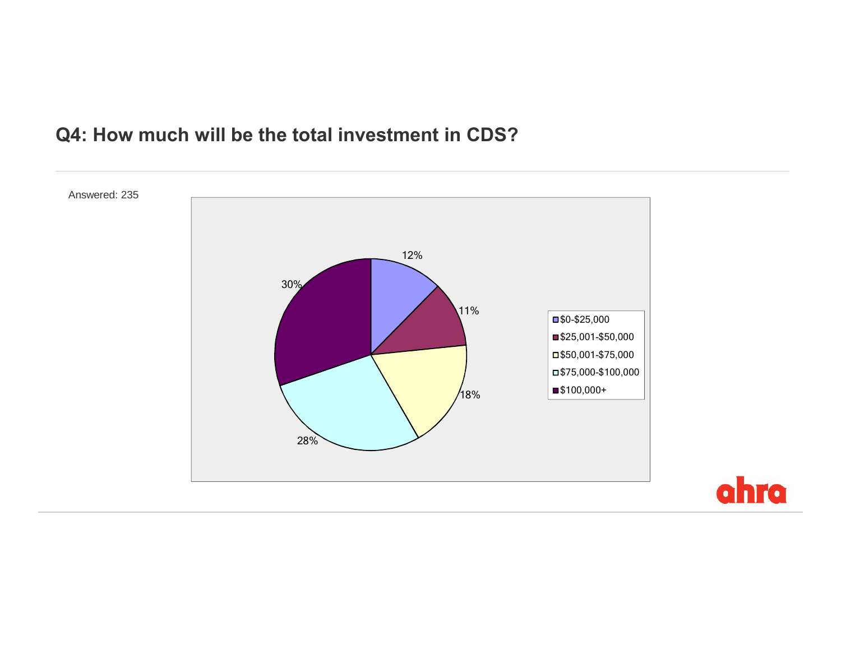## **Q4: How much will be the total investment in CDS?**



ahra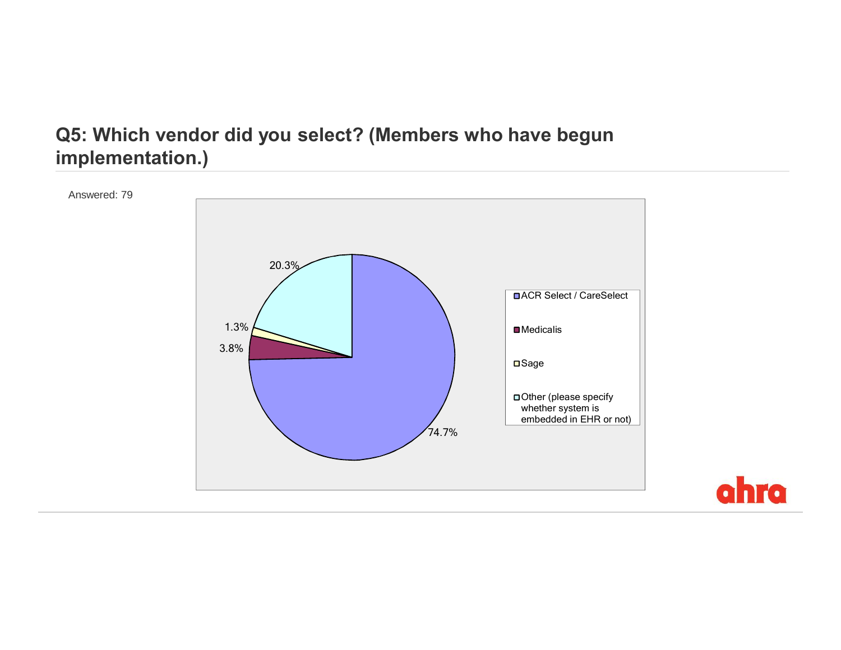#### **Q5: Which vendor did you select? (Members who have begun implementation.)**



ahra